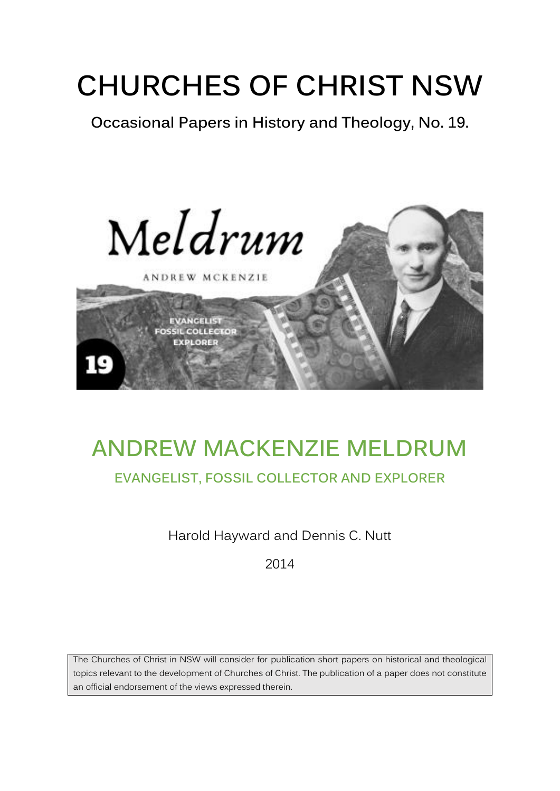## **CHURCHES OF CHRIST NSW**

**Occasional Papers in History and Theology, No. 19.** 



# **ANDREW MACKENZIE MELDRUM**

### **EVANGELIST, FOSSIL COLLECTOR AND EXPLORER**

Harold Hayward and Dennis C. Nutt

2014

The Churches of Christ in NSW will consider for publication short papers on historical and theological topics relevant to the development of Churches of Christ. The publication of a paper does not constitute an official endorsement of the views expressed therein.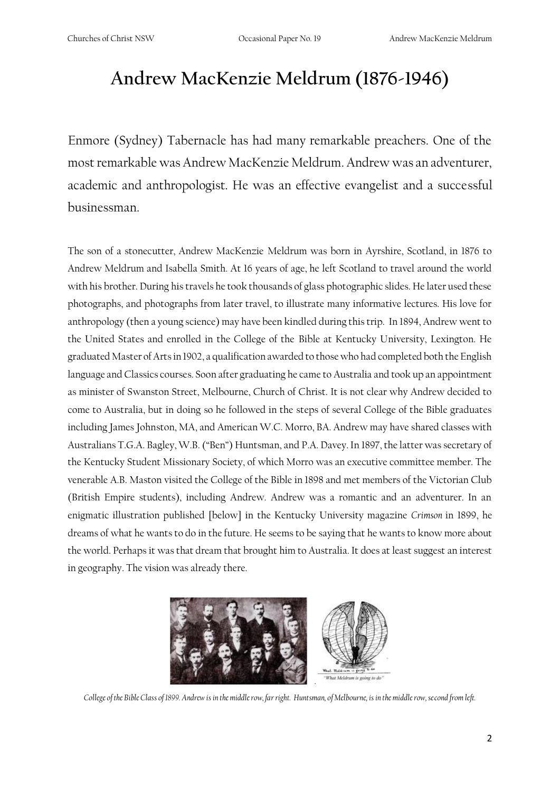## **Andrew MacKenzie Meldrum (1876-1946)**

Enmore (Sydney) Tabernacle has had many remarkable preachers. One of the most remarkable was Andrew MacKenzie Meldrum. Andrew was an adventurer, academic and anthropologist. He was an effective evangelist and a successful businessman.

The son of a stonecutter, Andrew MacKenzie Meldrum was born in Ayrshire, Scotland, in 1876 to Andrew Meldrum and Isabella Smith. At 16 years of age, he left Scotland to travel around the world with his brother. During his travels he took thousands of glass photographic slides. He later used these photographs, and photographs from later travel, to illustrate many informative lectures. His love for anthropology (then a young science) may have been kindled during this trip. In 1894, Andrew went to the United States and enrolled in the College of the Bible at Kentucky University, Lexington. He graduated Master of Arts in 1902, a qualification awarded to those who had completed both the English language and Classics courses. Soon after graduating he came to Australia and took up an appointment as minister of Swanston Street, Melbourne, Church of Christ. It is not clear why Andrew decided to come to Australia, but in doing so he followed in the steps of several College of the Bible graduates including James Johnston, MA, and American W.C. Morro, BA. Andrew may have shared classes with Australians T.G.A. Bagley, W.B. ("Ben") Huntsman, and P.A. Davey. In 1897, the latter was secretary of the Kentucky Student Missionary Society, of which Morro was an executive committee member. The venerable A.B. Maston visited the College of the Bible in 1898 and met members of the Victorian Club (British Empire students), including Andrew. Andrew was a romantic and an adventurer. In an enigmatic illustration published [below] in the Kentucky University magazine *Crimson* in 1899, he dreams of what he wants to do in the future. He seems to be saying that he wants to know more about the world. Perhaps it was that dream that brought him to Australia. It does at least suggest an interest in geography. The vision was already there.



*College of the Bible Class of 1899. Andrew is in the middle row, far right. Huntsman, of Melbourne, is in the middle row, second from left.*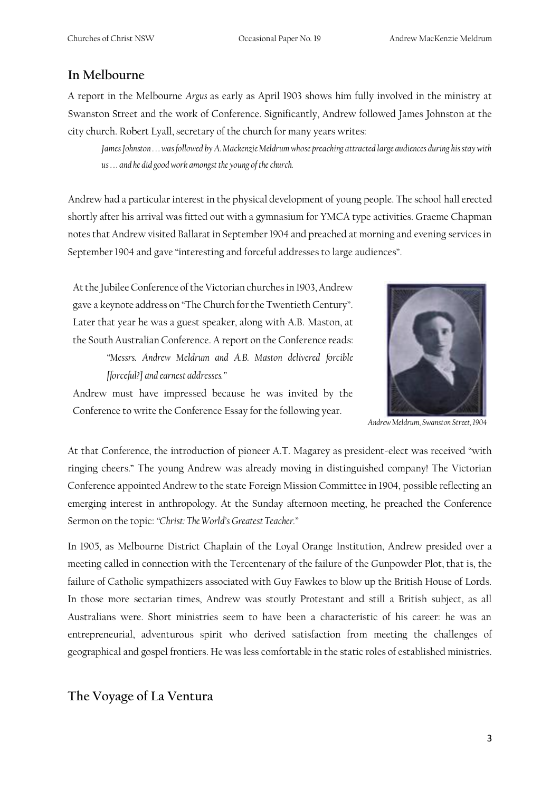#### **In Melbourne**

A report in the Melbourne *Argus* as early as April 1903 shows him fully involved in the ministry at Swanston Street and the work of Conference. Significantly, Andrew followed James Johnston at the city church. Robert Lyall, secretary of the church for many years writes:

*James Johnston . . . was followed by A. Mackenzie Meldrum whose preaching attracted large audiences during his stay with us . . . and he did good work amongst the young of the church.*

Andrew had a particular interest in the physical development of young people. The school hall erected shortly after his arrival was fitted out with a gymnasium for YMCA type activities. Graeme Chapman notes that Andrew visited Ballarat in September 1904 and preached at morning and evening services in September 1904 and gave "interesting and forceful addresses to large audiences".

At the Jubilee Conference of the Victorian churches in 1903, Andrew gave a keynote address on "The Church for the Twentieth Century". Later that year he was a guest speaker, along with A.B. Maston, at the South Australian Conference. A report on the Conference reads:

*"Messrs. Andrew Meldrum and A.B. Maston delivered forcible [forceful?] and earnest addresses."*



*Andrew Meldrum, Swanston Street, 1904*

Andrew must have impressed because he was invited by the Conference to write the Conference Essay for the following year.

At that Conference, the introduction of pioneer A.T. Magarey as president-elect was received "with ringing cheers." The young Andrew was already moving in distinguished company! The Victorian Conference appointed Andrew to the state Foreign Mission Committee in 1904, possible reflecting an emerging interest in anthropology. At the Sunday afternoon meeting, he preached the Conference Sermon on the topic: *"Christ: The World's Greatest Teacher."* 

In 1905, as Melbourne District Chaplain of the Loyal Orange Institution, Andrew presided over a meeting called in connection with the Tercentenary of the failure of the Gunpowder Plot, that is, the failure of Catholic sympathizers associated with Guy Fawkes to blow up the British House of Lords. In those more sectarian times, Andrew was stoutly Protestant and still a British subject, as all Australians were. Short ministries seem to have been a characteristic of his career: he was an entrepreneurial, adventurous spirit who derived satisfaction from meeting the challenges of geographical and gospel frontiers. He was less comfortable in the static roles of established ministries.

#### **The Voyage of La Ventura**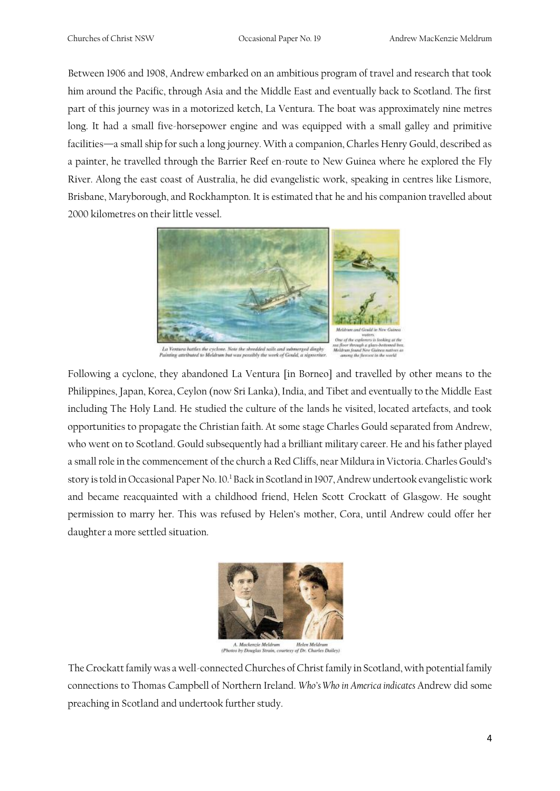Between 1906 and 1908, Andrew embarked on an ambitious program of travel and research that took him around the Pacific, through Asia and the Middle East and eventually back to Scotland. The first part of this journey was in a motorized ketch, La Ventura. The boat was approximately nine metres long. It had a small five-horsepower engine and was equipped with a small galley and primitive facilities—a small ship for such a long journey. With a companion, Charles Henry Gould, described as a painter, he travelled through the Barrier Reef en-route to New Guinea where he explored the Fly River. Along the east coast of Australia, he did evangelistic work, speaking in centres like Lismore, Brisbane, Maryborough, and Rockhampton. It is estimated that he and his companion travelled about 2000 kilometres on their little vessel.



76

 $La Vontura barifies the cycle one. Weier the already still only through displaying a trivial subsupers and is 46. We have that a sum is a possible work of Goul, a significantly.\\$ 

Following a cyclone, they abandoned La Ventura [in Borneo] and travelled by other means to the Philippines, Japan, Korea, Ceylon (now Sri Lanka), India, and Tibet and eventually to the Middle East including The Holy Land. He studied the culture of the lands he visited, located artefacts, and took opportunities to propagate the Christian faith. At some stage Charles Gould separated from Andrew, who went on to Scotland. Gould subsequently had a brilliant military career. He and his father played a small role in the commencement of the church a Red Cliffs, near Mildura in Victoria. Charles Gould's story is told in Occasional Paper No. 10.<sup>1</sup> Back in Scotland in 1907, Andrew undertook evangelistic work and became reacquainted with a childhood friend, Helen Scott Crockatt of Glasgow. He sought permission to marry her. This was refused by Helen's mother, Cora, until Andrew could offer her daughter a more settled situation.



A. Mackenzie Meldrum Helen Meldrum<br>tos by Douglas Strain, courtesy of Dr. Charles Dailey)

The Crockatt family was a well-connected Churches of Christ family in Scotland, with potential family connections to Thomas Campbell of Northern Ireland. *Who's Who in America indicates* Andrew did some preaching in Scotland and undertook further study.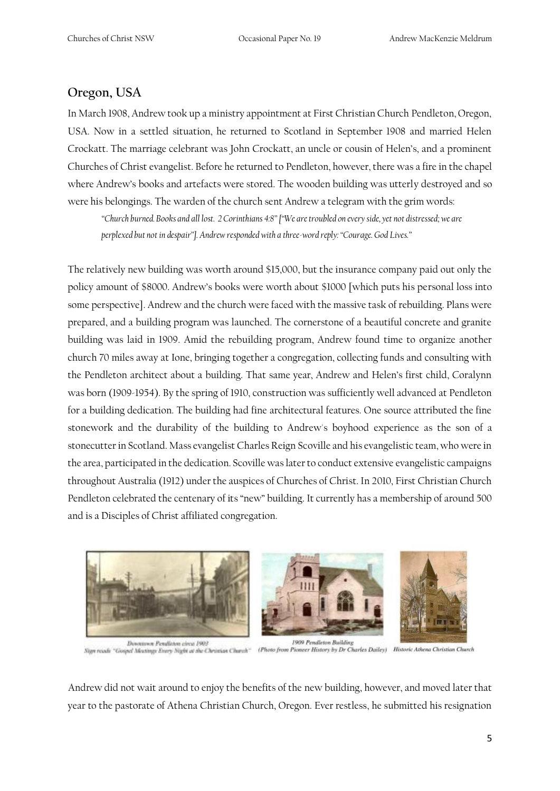#### **Oregon, USA**

In March 1908, Andrew took up a ministry appointment at First Christian Church Pendleton, Oregon, USA. Now in a settled situation, he returned to Scotland in September 1908 and married Helen Crockatt. The marriage celebrant was John Crockatt, an uncle or cousin of Helen's, and a prominent Churches of Christ evangelist. Before he returned to Pendleton, however, there was a fire in the chapel where Andrew's books and artefacts were stored. The wooden building was utterly destroyed and so were his belongings. The warden of the church sent Andrew a telegram with the grim words:

*"Church burned. Books and all lost. 2 Corinthians 4:8" ["We are troubled on every side, yet not distressed; we are perplexed but not in despair"]. Andrew responded with a three-word reply: "Courage. God Lives."* 

The relatively new building was worth around \$15,000, but the insurance company paid out only the policy amount of \$8000. Andrew's books were worth about \$1000 [which puts his personal loss into some perspective]. Andrew and the church were faced with the massive task of rebuilding. Plans were prepared, and a building program was launched. The cornerstone of a beautiful concrete and granite building was laid in 1909. Amid the rebuilding program, Andrew found time to organize another church 70 miles away at Ione, bringing together a congregation, collecting funds and consulting with the Pendleton architect about a building. That same year, Andrew and Helen's first child, Coralynn was born (1909-1954). By the spring of 1910, construction was sufficiently well advanced at Pendleton for a building dedication. The building had fine architectural features. One source attributed the fine stonework and the durability of the building to Andrew's boyhood experience as the son of a stonecutter in Scotland. Mass evangelist Charles Reign Scoville and his evangelistic team, who were in the area, participated in the dedication. Scoville was later to conduct extensive evangelistic campaigns throughout Australia (1912) under the auspices of Churches of Christ. In 2010, First Christian Church Pendleton celebrated the centenary of its "new" building. It currently has a membership of around 500 and is a Disciples of Christ affiliated congregation.



Dovozovov Pendlehm circa 1903

1909 Pendleton Building Sign reads "Gospel Mexting: Every Night at the Christian Church" (Photo from Pioneer History by Dr Charles Dailey) Historic Athena Christian Church

Andrew did not wait around to enjoy the benefits of the new building, however, and moved later that year to the pastorate of Athena Christian Church, Oregon. Ever restless, he submitted his resignation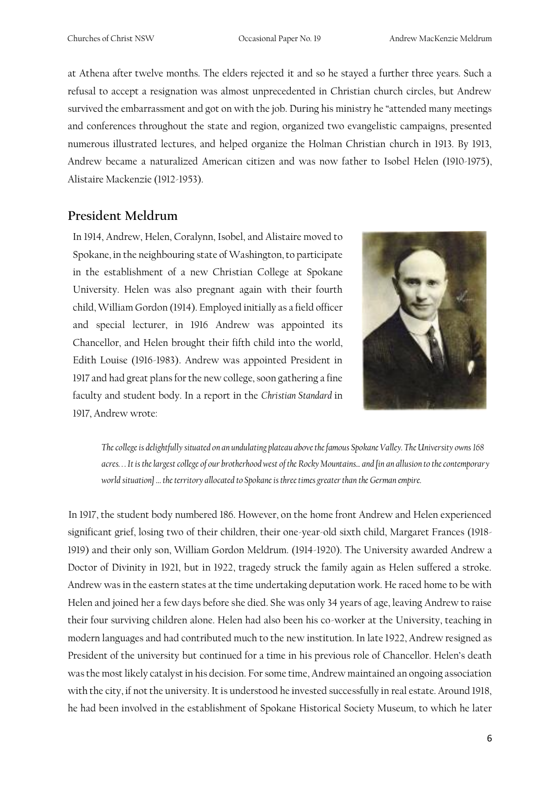at Athena after twelve months. The elders rejected it and so he stayed a further three years. Such a refusal to accept a resignation was almost unprecedented in Christian church circles, but Andrew survived the embarrassment and got on with the job. During his ministry he "attended many meetings and conferences throughout the state and region, organized two evangelistic campaigns, presented numerous illustrated lectures, and helped organize the Holman Christian church in 1913. By 1913, Andrew became a naturalized American citizen and was now father to Isobel Helen (1910-1975), Alistaire Mackenzie (1912-1953).

#### **President Meldrum**

In 1914, Andrew, Helen, Coralynn, Isobel, and Alistaire moved to Spokane, in the neighbouring state of Washington, to participate in the establishment of a new Christian College at Spokane University. Helen was also pregnant again with their fourth child, William Gordon (1914). Employed initially as a field officer and special lecturer, in 1916 Andrew was appointed its Chancellor, and Helen brought their fifth child into the world, Edith Louise (1916-1983). Andrew was appointed President in 1917 and had great plans for the new college, soon gathering a fine faculty and student body. In a report in the *Christian Standard* in 1917, Andrew wrote:



*The college is delightfully situated on an undulating plateau above the famous Spokane Valley. The University owns 168 acres. . . It is the largest college of our brotherhood west of the Rocky Mountains... and [in an allusion to the contemporary world situation] … the territory allocated to Spokane is three times greater than the German empire.* 

In 1917, the student body numbered 186. However, on the home front Andrew and Helen experienced significant grief, losing two of their children, their one-year-old sixth child, Margaret Frances (1918- 1919) and their only son, William Gordon Meldrum. (1914-1920). The University awarded Andrew a Doctor of Divinity in 1921, but in 1922, tragedy struck the family again as Helen suffered a stroke. Andrew was in the eastern states at the time undertaking deputation work. He raced home to be with Helen and joined her a few days before she died. She was only 34 years of age, leaving Andrew to raise their four surviving children alone. Helen had also been his co-worker at the University, teaching in modern languages and had contributed much to the new institution. In late 1922, Andrew resigned as President of the university but continued for a time in his previous role of Chancellor. Helen's death was the most likely catalyst in his decision. For some time, Andrew maintained an ongoing association with the city, if not the university. It is understood he invested successfully in real estate. Around 1918, he had been involved in the establishment of Spokane Historical Society Museum, to which he later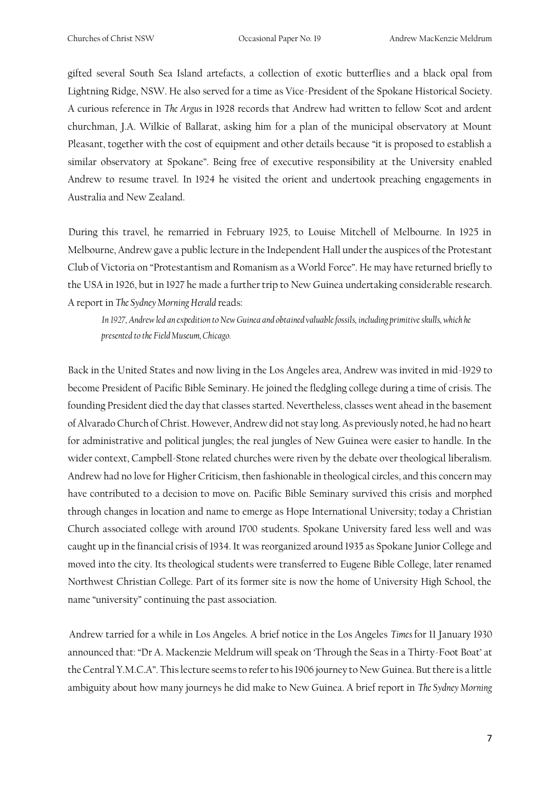gifted several South Sea Island artefacts, a collection of exotic butterflies and a black opal from Lightning Ridge, NSW. He also served for a time as Vice-President of the Spokane Historical Society. A curious reference in *The Argus* in 1928 records that Andrew had written to fellow Scot and ardent churchman, J.A. Wilkie of Ballarat, asking him for a plan of the municipal observatory at Mount Pleasant, together with the cost of equipment and other details because "it is proposed to establish a similar observatory at Spokane". Being free of executive responsibility at the University enabled Andrew to resume travel. In 1924 he visited the orient and undertook preaching engagements in Australia and New Zealand.

During this travel, he remarried in February 1925, to Louise Mitchell of Melbourne. In 1925 in Melbourne, Andrew gave a public lecture in the Independent Hall under the auspices of the Protestant Club of Victoria on "Protestantism and Romanism as a World Force". He may have returned briefly to the USA in 1926, but in 1927 he made a further trip to New Guinea undertaking considerable research. A report in *The Sydney Morning Herald* reads:

*In 1927, Andrew led an expedition to New Guinea and obtained valuable fossils, including primitive skulls, which he presented to the Field Museum, Chicago.* 

Back in the United States and now living in the Los Angeles area, Andrew was invited in mid-1929 to become President of Pacific Bible Seminary. He joined the fledgling college during a time of crisis. The founding President died the day that classes started. Nevertheless, classes went ahead in the basement of Alvarado Church of Christ. However, Andrew did not stay long. As previously noted, he had no heart for administrative and political jungles; the real jungles of New Guinea were easier to handle. In the wider context, Campbell-Stone related churches were riven by the debate over theological liberalism. Andrew had no love for Higher Criticism, then fashionable in theological circles, and this concern may have contributed to a decision to move on. Pacific Bible Seminary survived this crisis and morphed through changes in location and name to emerge as Hope International University; today a Christian Church associated college with around 1700 students. Spokane University fared less well and was caught up in the financial crisis of 1934. It was reorganized around 1935 as Spokane Junior College and moved into the city. Its theological students were transferred to Eugene Bible College, later renamed Northwest Christian College. Part of its former site is now the home of University High School, the name "university" continuing the past association.

Andrew tarried for a while in Los Angeles. A brief notice in the Los Angeles *Times* for 11 January 1930 announced that: "Dr A. Mackenzie Meldrum will speak on 'Through the Seas in a Thirty-Foot Boat' at the Central Y.M.C.A". This lecture seems to refer to his 1906 journey to New Guinea. But there is a little ambiguity about how many journeys he did make to New Guinea. A brief report in *The Sydney Morning*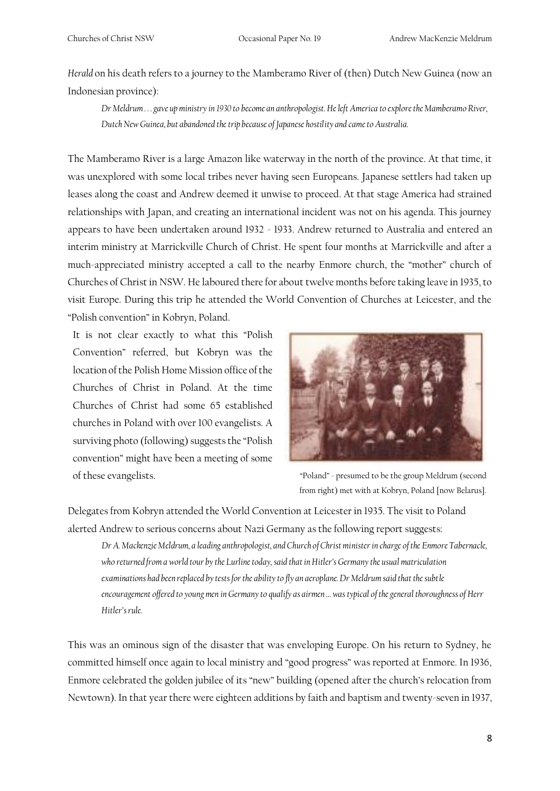*Herald* on his death refers to a journey to the Mamberamo River of (then) Dutch New Guinea (now an Indonesian province):

*Dr Meldrum . . . gave up ministry in 1930 to become an anthropologist. He left America to explore the Mamberamo River, Dutch New Guinea, but abandoned the trip because of Japanese hostility and came to Australia.* 

The Mamberamo River is a large Amazon like waterway in the north of the province. At that time, it was unexplored with some local tribes never having seen Europeans. Japanese settlers had taken up leases along the coast and Andrew deemed it unwise to proceed. At that stage America had strained relationships with Japan, and creating an international incident was not on his agenda. This journey appears to have been undertaken around 1932 - 1933. Andrew returned to Australia and entered an interim ministry at Marrickville Church of Christ. He spent four months at Marrickville and after a much-appreciated ministry accepted a call to the nearby Enmore church, the "mother" church of Churches of Christ in NSW. He laboured there for about twelve months before taking leave in 1935, to visit Europe. During this trip he attended the World Convention of Churches at Leicester, and the "Polish convention" in Kobryn, Poland.

It is not clear exactly to what this "Polish Convention" referred, but Kobryn was the location of the Polish Home Mission office of the Churches of Christ in Poland. At the time Churches of Christ had some 65 established churches in Poland with over 100 evangelists. A surviving photo (following) suggests the "Polish convention" might have been a meeting of some of these evangelists. "Poland" - presumed to be the group Meldrum (second



from right) met with at Kobryn, Poland [now Belarus].

Delegates from Kobryn attended the World Convention at Leicester in 1935. The visit to Poland alerted Andrew to serious concerns about Nazi Germany as the following report suggests:

*Dr A. Mackenzie Meldrum, a leading anthropologist, and Church of Christ minister in charge of the Enmore Tabernacle, who returned from a world tour by the Lurline today, said that in Hitler's Germany the usual matriculation examinations had been replaced by tests for the ability to fly an aeroplane. Dr Meldrum said that the subtle encouragement offered to young men in Germany to qualify as airmen … was typical of the general thoroughness of Herr Hitler's rule.* 

This was an ominous sign of the disaster that was enveloping Europe. On his return to Sydney, he committed himself once again to local ministry and "good progress" was reported at Enmore. In 1936, Enmore celebrated the golden jubilee of its "new" building (opened after the church's relocation from Newtown). In that year there were eighteen additions by faith and baptism and twenty-seven in 1937,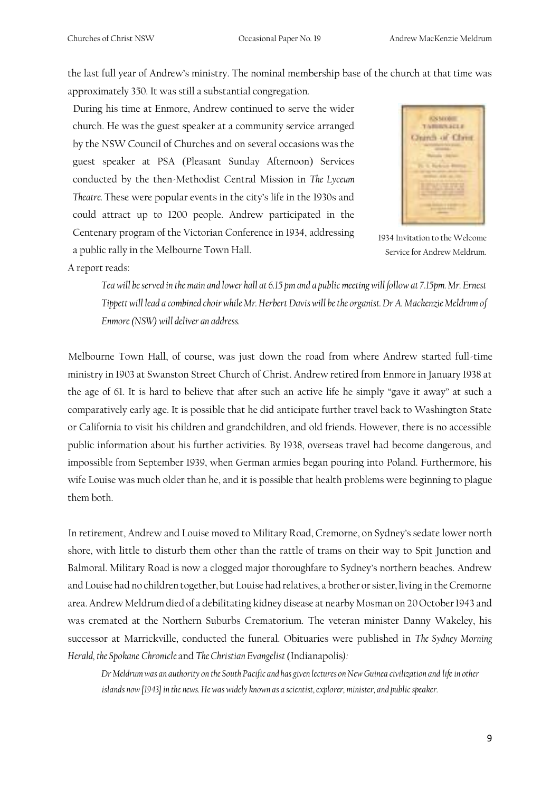the last full year of Andrew's ministry. The nominal membership base of the church at that time was

approximately 350. It was still a substantial congregation.

During his time at Enmore, Andrew continued to serve the wider church. He was the guest speaker at a community service arranged by the NSW Council of Churches and on several occasions was the guest speaker at PSA (Pleasant Sunday Afternoon) Services conducted by the then-Methodist Central Mission in *The Lyceum Theatre.* These were popular events in the city's life in the 1930s and could attract up to 1200 people. Andrew participated in the Centenary program of the Victorian Conference in 1934, addressing a public rally in the Melbourne Town Hall.



1934 Invitation to the Welcome Service for Andrew Meldrum.

A report reads:

*Tea will be served in the main and lower hall at 6.15 pm and a public meeting will follow at 7.15pm. Mr. Ernest Tippett will lead a combined choir while Mr. Herbert Davis will be the organist. Dr A. Mackenzie Meldrum of Enmore (NSW) will deliver an address.* 

Melbourne Town Hall, of course, was just down the road from where Andrew started full-time ministry in 1903 at Swanston Street Church of Christ. Andrew retired from Enmore in January 1938 at the age of 61. It is hard to believe that after such an active life he simply "gave it away" at such a comparatively early age. It is possible that he did anticipate further travel back to Washington State or California to visit his children and grandchildren, and old friends. However, there is no accessible public information about his further activities. By 1938, overseas travel had become dangerous, and impossible from September 1939, when German armies began pouring into Poland. Furthermore, his wife Louise was much older than he, and it is possible that health problems were beginning to plague them both.

In retirement, Andrew and Louise moved to Military Road, Cremorne, on Sydney's sedate lower north shore, with little to disturb them other than the rattle of trams on their way to Spit Junction and Balmoral. Military Road is now a clogged major thoroughfare to Sydney's northern beaches. Andrew and Louise had no children together, but Louise had relatives, a brother or sister, living in the Cremorne area. Andrew Meldrum died of a debilitating kidney disease at nearby Mosman on 20 October 1943 and was cremated at the Northern Suburbs Crematorium. The veteran minister Danny Wakeley, his successor at Marrickville, conducted the funeral. Obituaries were published in *The Sydney Morning Herald, the Spokane Chronicle* and *The Christian Evangelist* (Indianapolis*):*

*Dr Meldrum was an authority on the South Pacific and has given lectures on New Guinea civilization and life in other*  islands now [1943] in the news. He was widely known as a scientist, explorer, minister, and public speaker.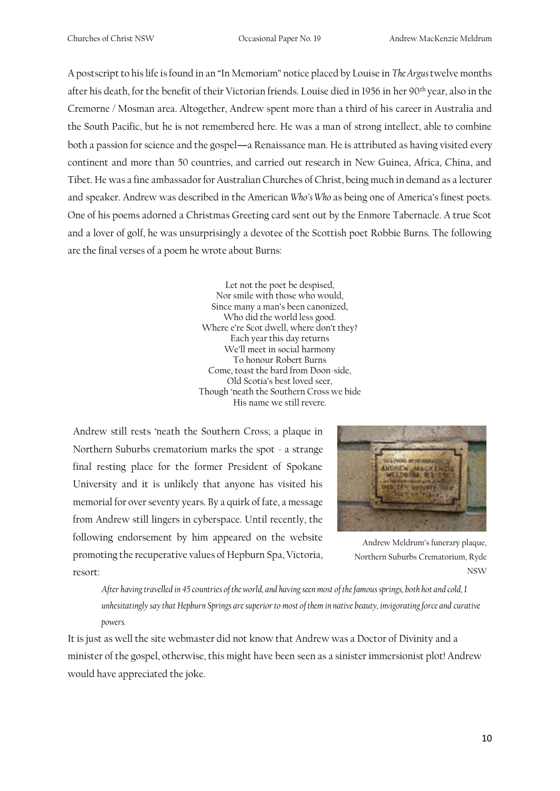A postscript to his life is found in an "In Memoriam" notice placed by Louise in *The Argus* twelve months after his death, for the benefit of their Victorian friends. Louise died in 1956 in her 90th year, also in the Cremorne / Mosman area. Altogether, Andrew spent more than a third of his career in Australia and the South Pacific, but he is not remembered here. He was a man of strong intellect, able to combine both a passion for science and the gospel―a Renaissance man. He is attributed as having visited every continent and more than 50 countries, and carried out research in New Guinea, Africa, China, and Tibet. He was a fine ambassador for Australian Churches of Christ, being much in demand as a lecturer and speaker. Andrew was described in the American *Who's Who* as being one of America's finest poets. One of his poems adorned a Christmas Greeting card sent out by the Enmore Tabernacle. A true Scot and a lover of golf, he was unsurprisingly a devotee of the Scottish poet Robbie Burns. The following are the final verses of a poem he wrote about Burns:

> Let not the poet be despised, Nor smile with those who would, Since many a man's been canonized, Who did the world less good. Where e're Scot dwell, where don't they? Each year this day returns We'll meet in social harmony To honour Robert Burns Come, toast the bard from Doon-side, Old Scotia's best loved seer, Though 'neath the Southern Cross we bide His name we still revere.

Andrew still rests 'neath the Southern Cross; a plaque in Northern Suburbs crematorium marks the spot - a strange final resting place for the former President of Spokane University and it is unlikely that anyone has visited his memorial for over seventy years. By a quirk of fate, a message from Andrew still lingers in cyberspace. Until recently, the following endorsement by him appeared on the website promoting the recuperative values of Hepburn Spa, Victoria, resort:



Andrew Meldrum's funerary plaque, Northern Suburbs Crematorium, Ryde NSW

*After having travelled in 45 countries of the world, and having seen most of the famous springs, both hot and cold, I unhesitatingly say that Hepburn Springs are superior to most of them in native beauty, invigorating force and curative powers.*

It is just as well the site webmaster did not know that Andrew was a Doctor of Divinity and a minister of the gospel, otherwise, this might have been seen as a sinister immersionist plot! Andrew would have appreciated the joke.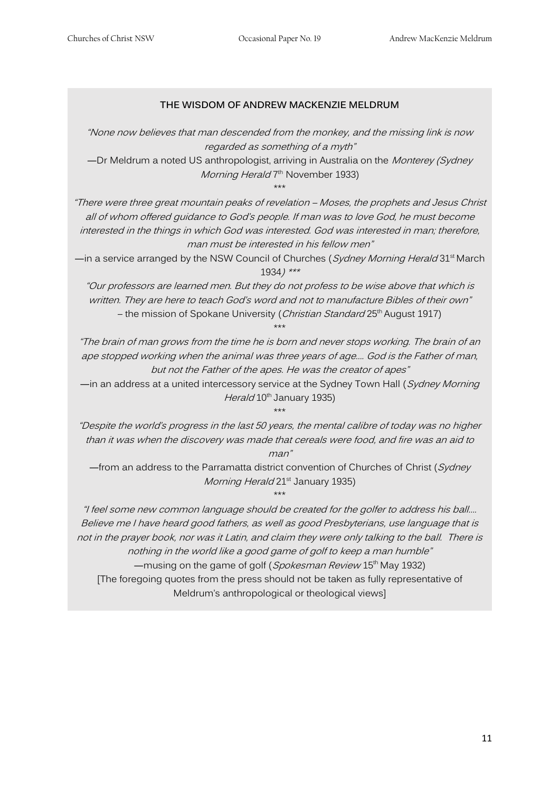#### **THE WISDOM OF ANDREW MACKENZIE MELDRUM**

"None now believes that man descended from the monkey, and the missing link is now regarded as something of a myth"

―Dr Meldrum a noted US anthropologist, arriving in Australia on the Monterey (Sydney *Morning Herald* 7<sup>th</sup> November 1933)

\*\*\*

"There were three great mountain peaks of revelation – Moses, the prophets and Jesus Christ all of whom offered guidance to God's people. If man was to love God, he must become interested in the things in which God was interested. God was interested in man; therefore, man must be interested in his fellow men"

—in a service arranged by the NSW Council of Churches (*Sydney Morning Herald* 31<sup>st</sup> March 1934) \*\*\*

"Our professors are learned men. But they do not profess to be wise above that which is written. They are here to teach God's word and not to manufacture Bibles of their own" – the mission of Spokane University (Christian Standard 25<sup>th</sup> August 1917)

\*\*\*

"The brain of man grows from the time he is born and never stops working. The brain of an ape stopped working when the animal was three years of age…. God is the Father of man, but not the Father of the apes. He was the creator of apes"

—in an address at a united intercessory service at the Sydney Town Hall (Sydney Morning Herald 10<sup>th</sup> January 1935)

\*\*\*

"Despite the world's progress in the last 50 years, the mental calibre of today was no higher than it was when the discovery was made that cereals were food, and fire was an aid to

man"

 $-$ from an address to the Parramatta district convention of Churches of Christ (Sydney Morning Herald 21<sup>st</sup> January 1935)

\*\*\*

"I feel some new common language should be created for the golfer to address his ball…. Believe me I have heard good fathers, as well as good Presbyterians, use language that is not in the prayer book, nor was it Latin, and claim they were only talking to the ball. There is nothing in the world like a good game of golf to keep a man humble"

—musing on the game of golf (Spokesman Review 15<sup>th</sup> May 1932) [The foregoing quotes from the press should not be taken as fully representative of

Meldrum's anthropological or theological views]